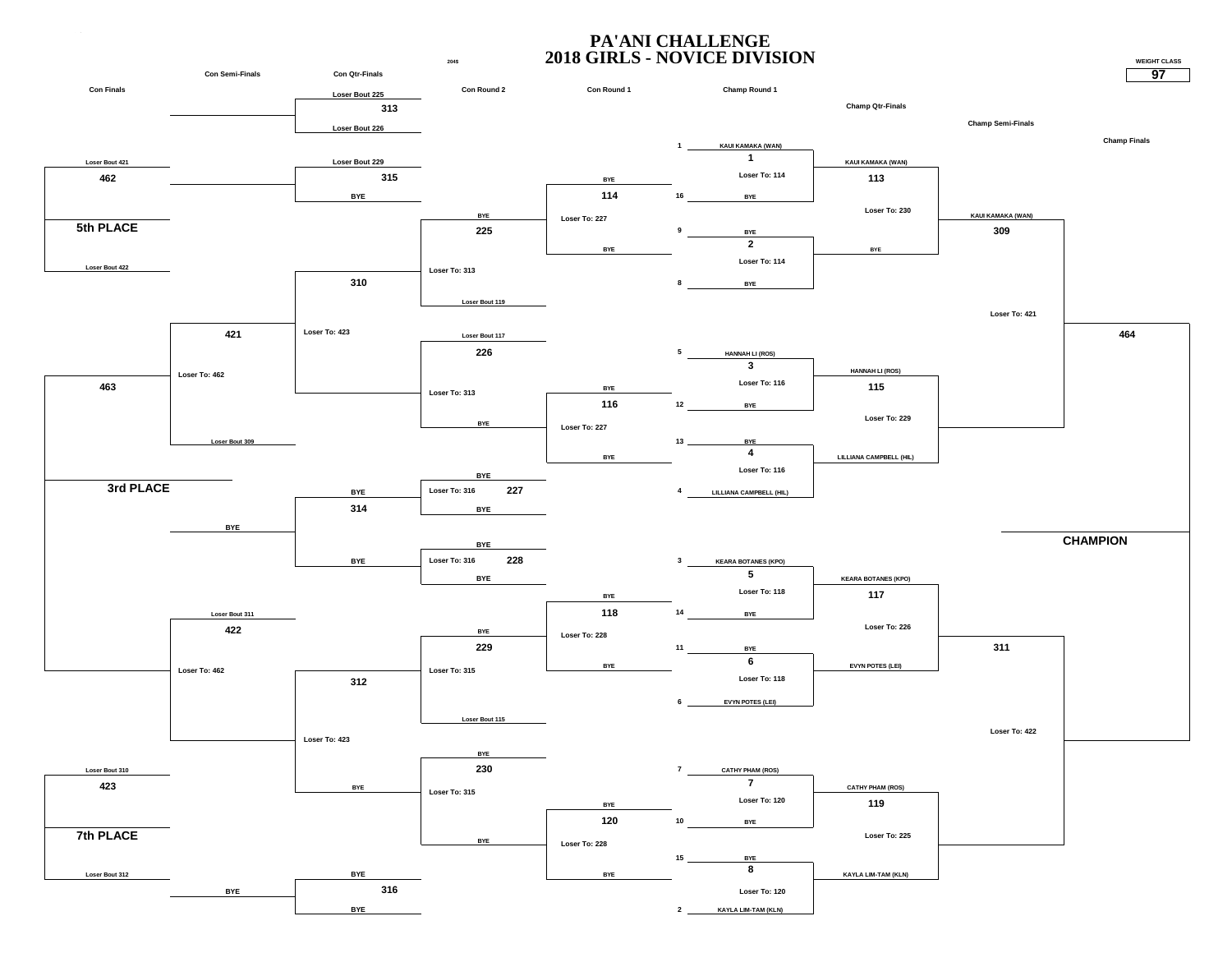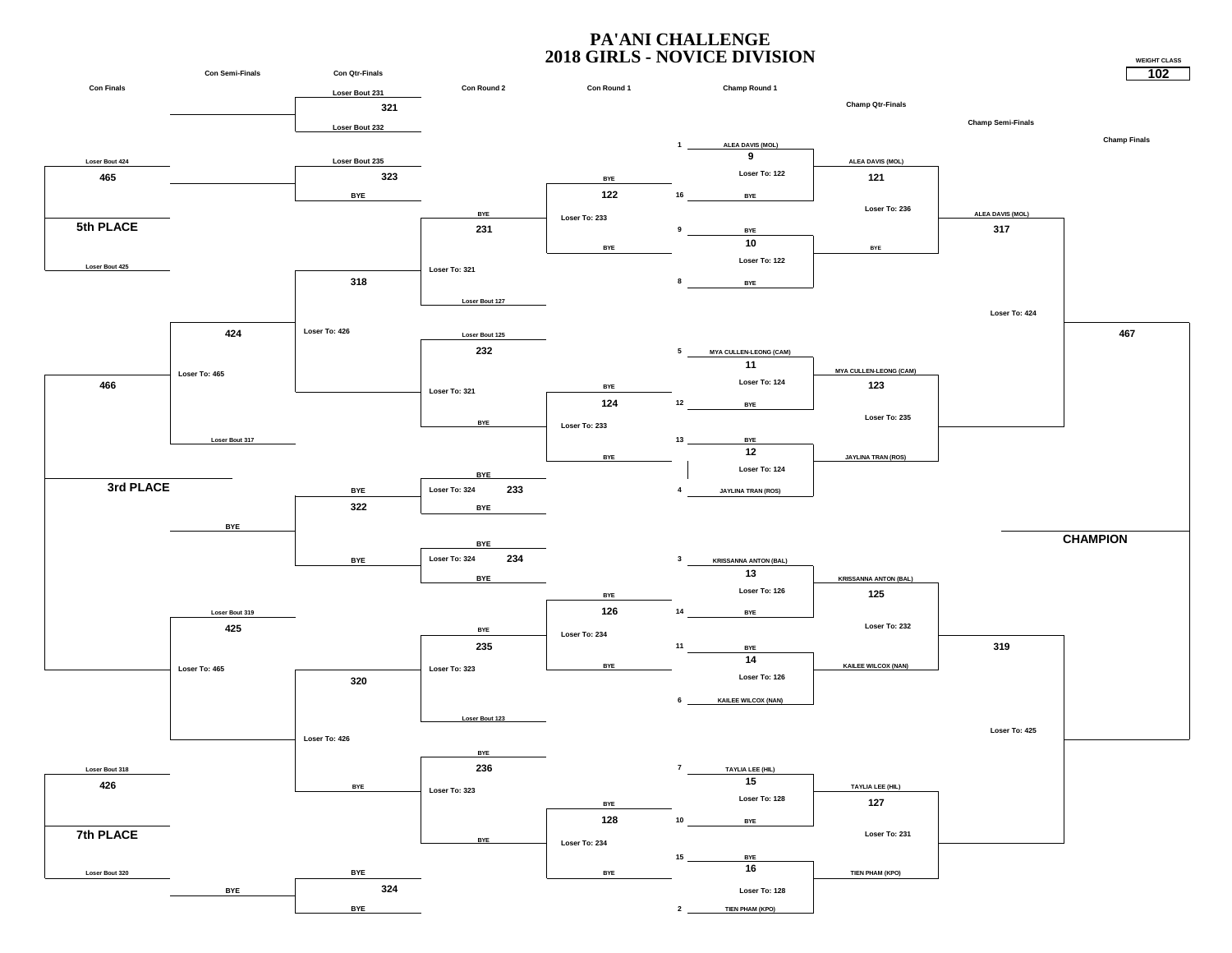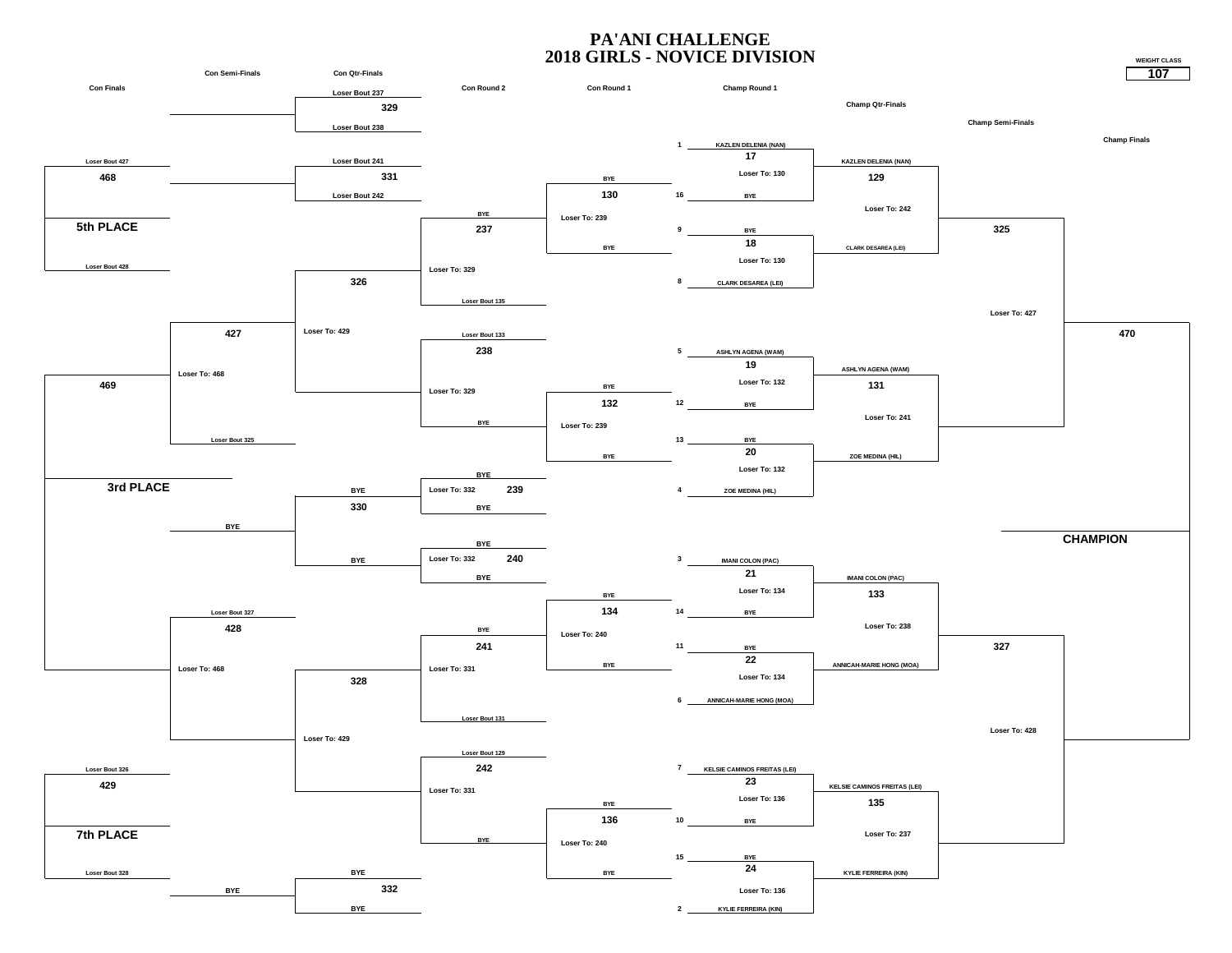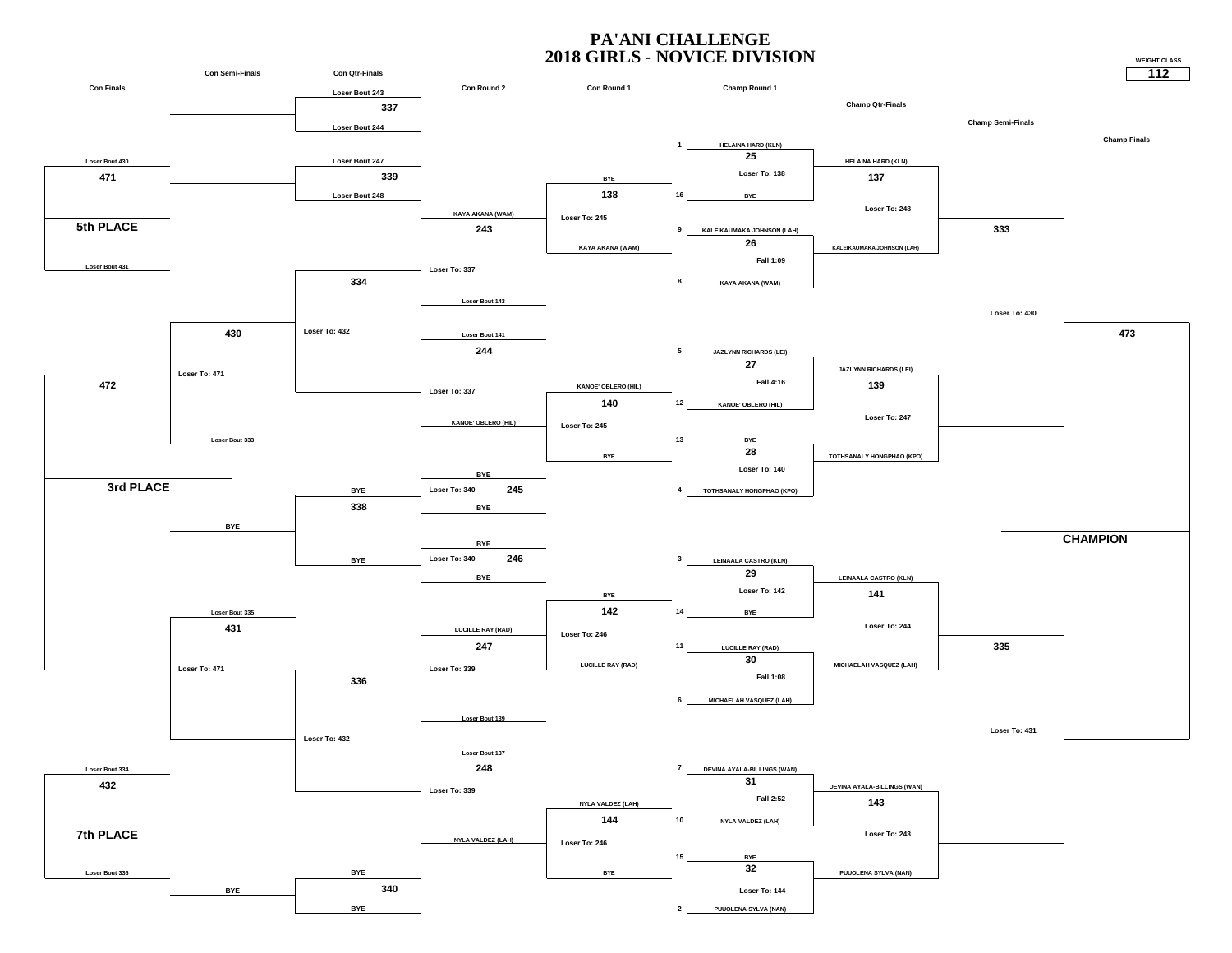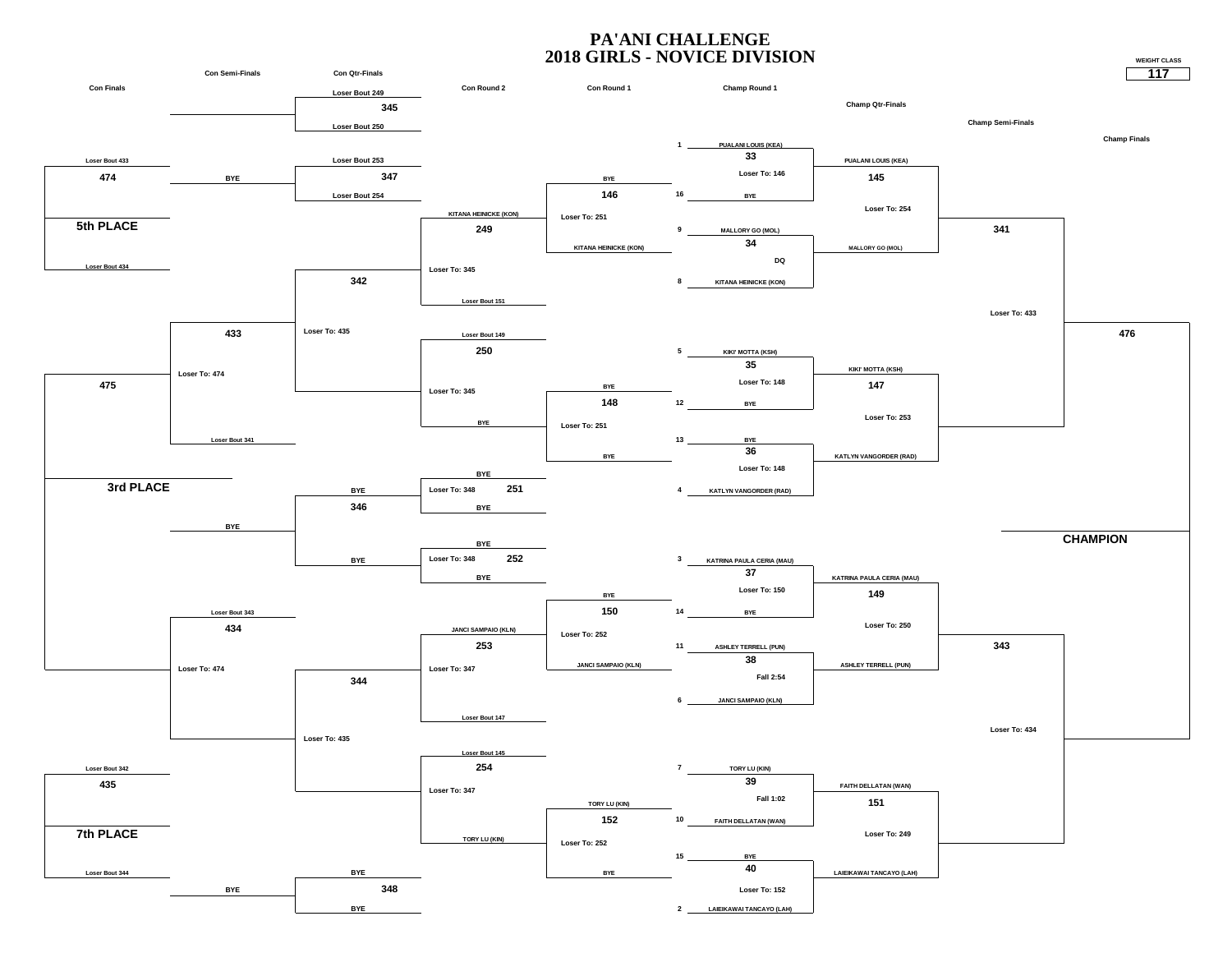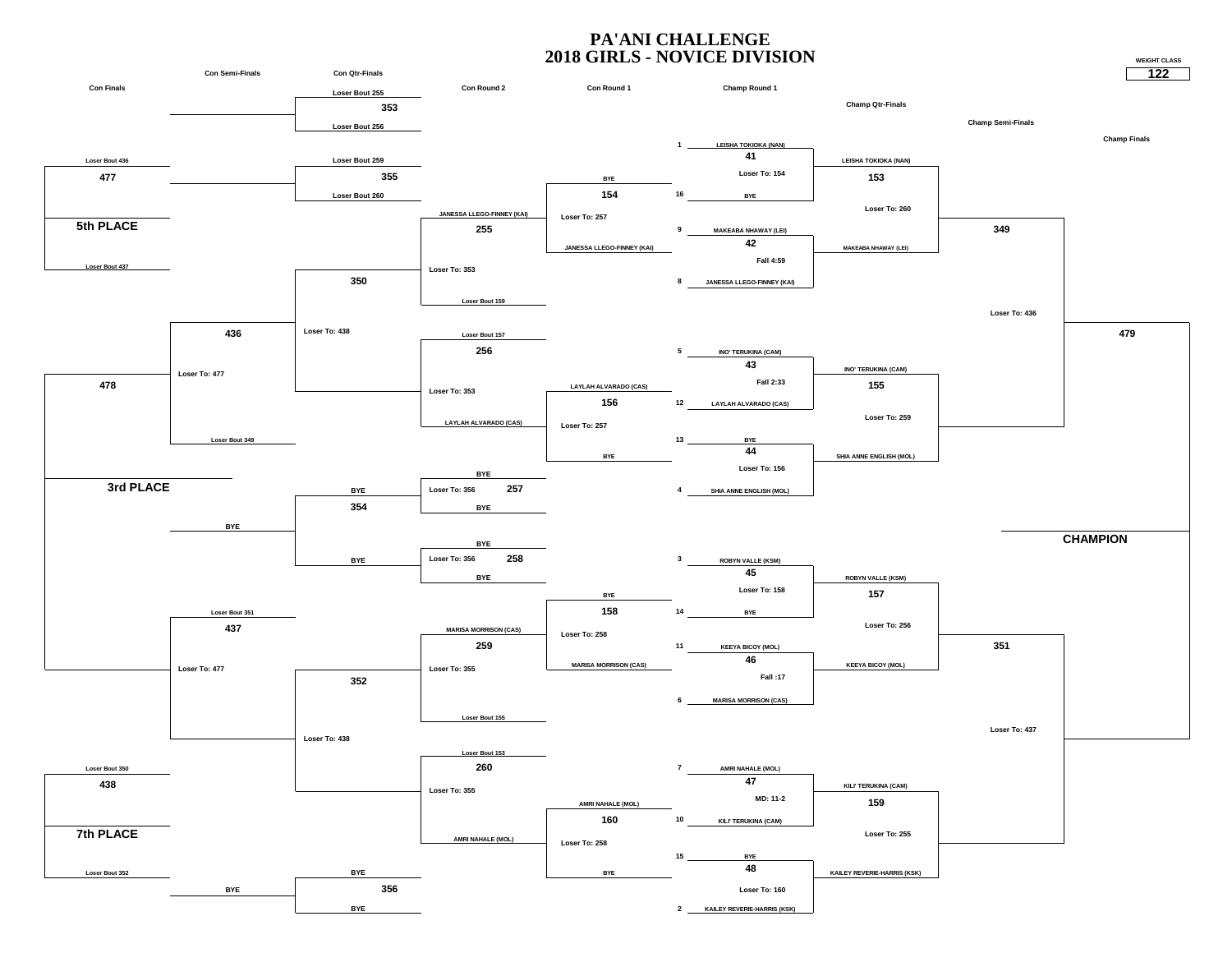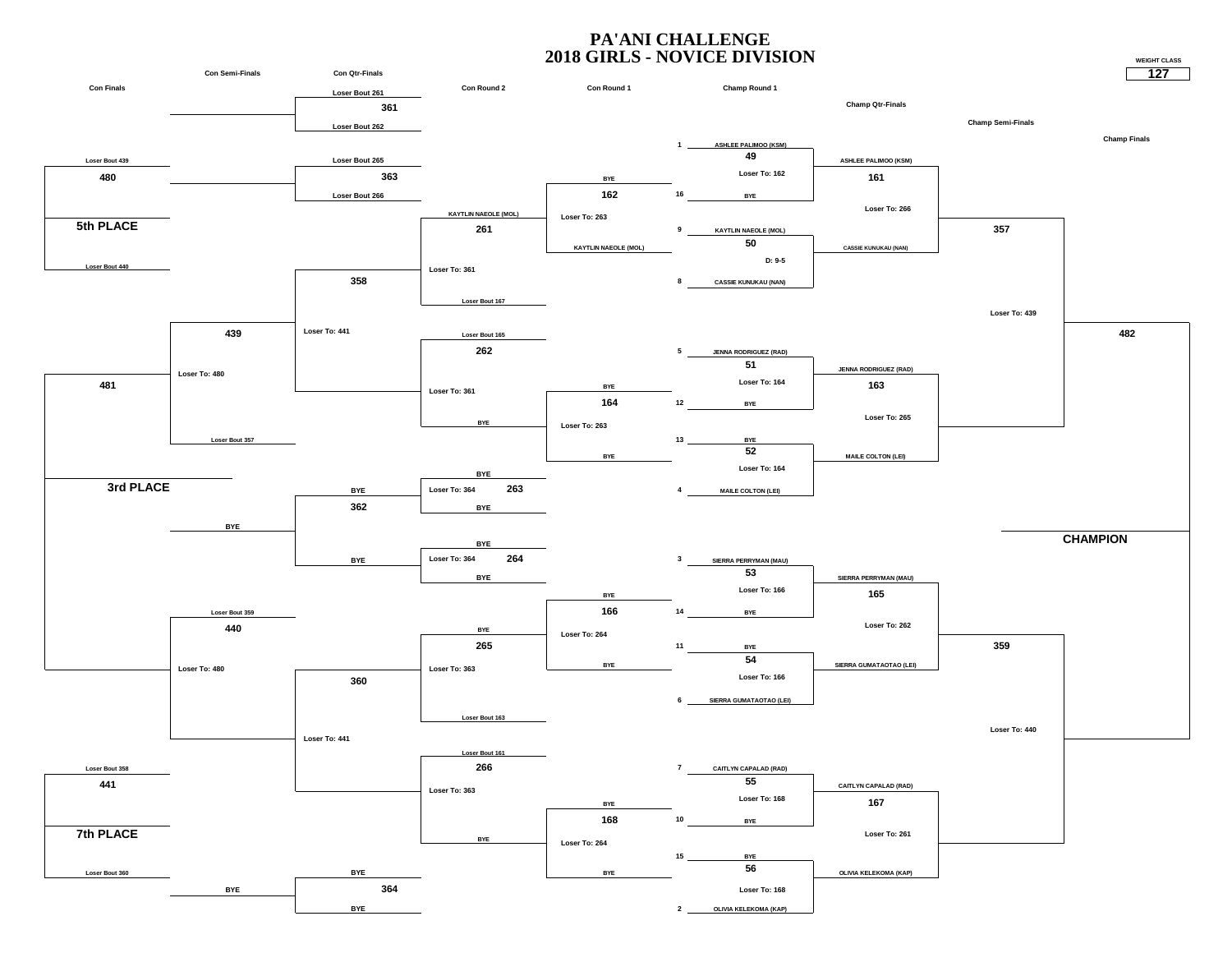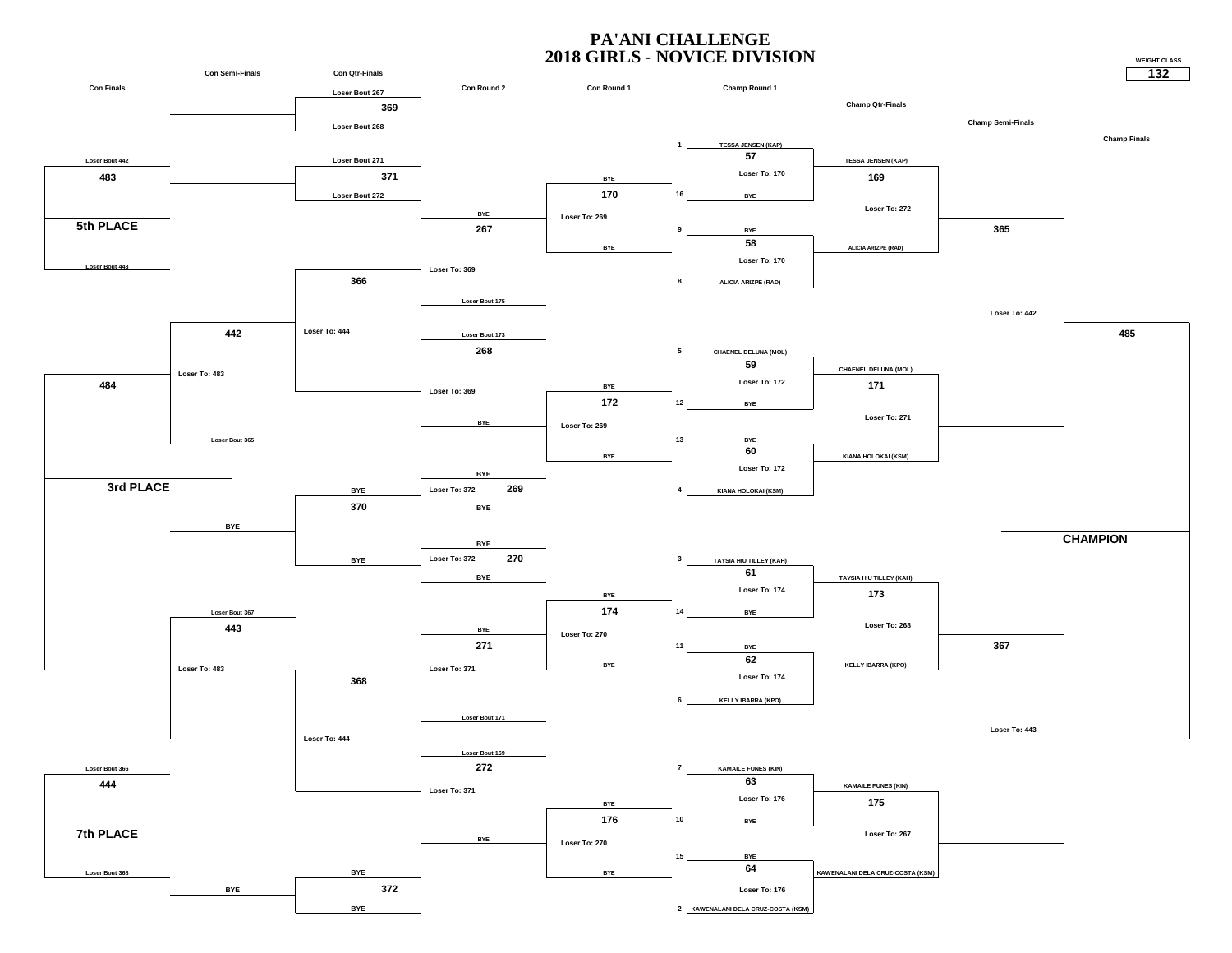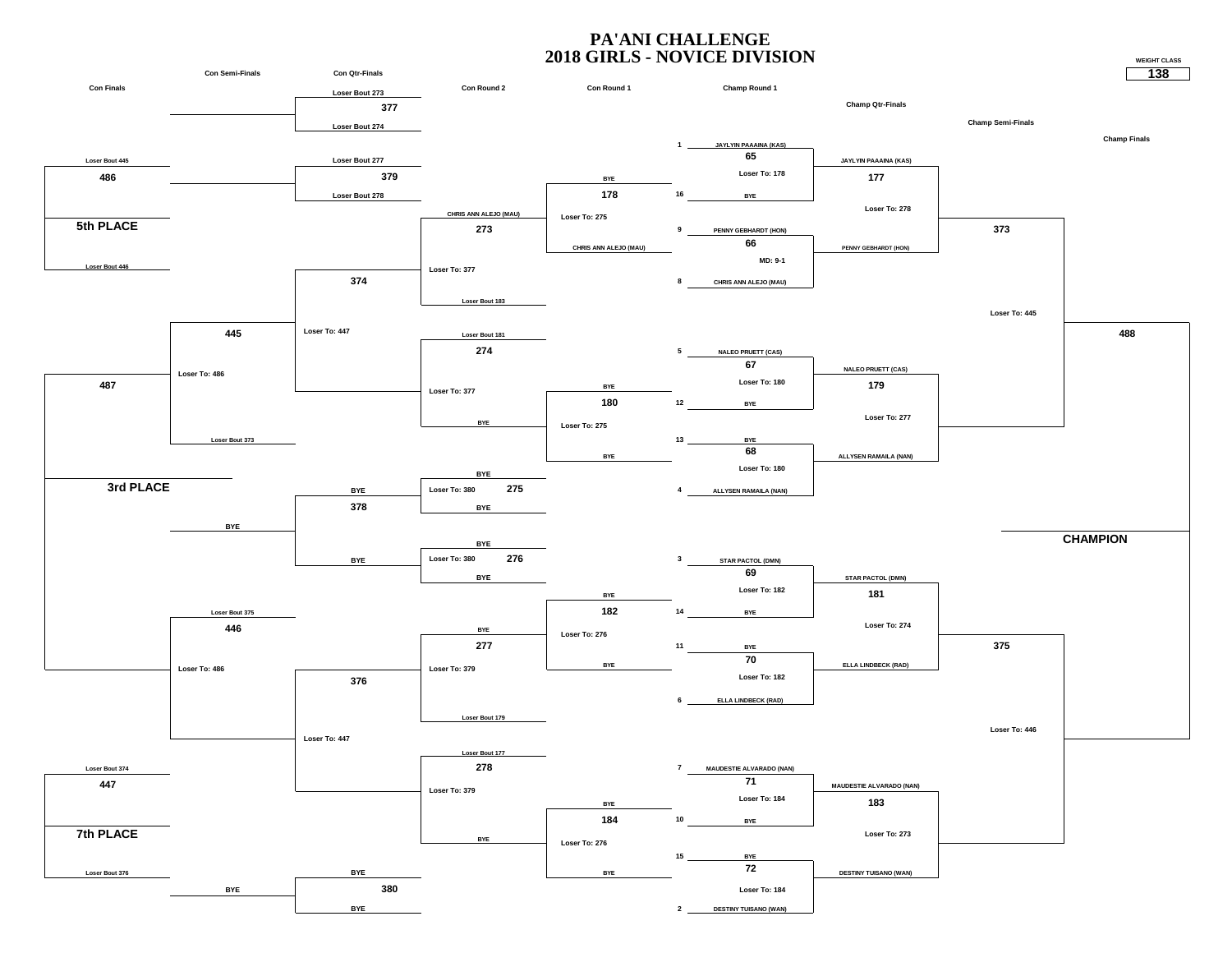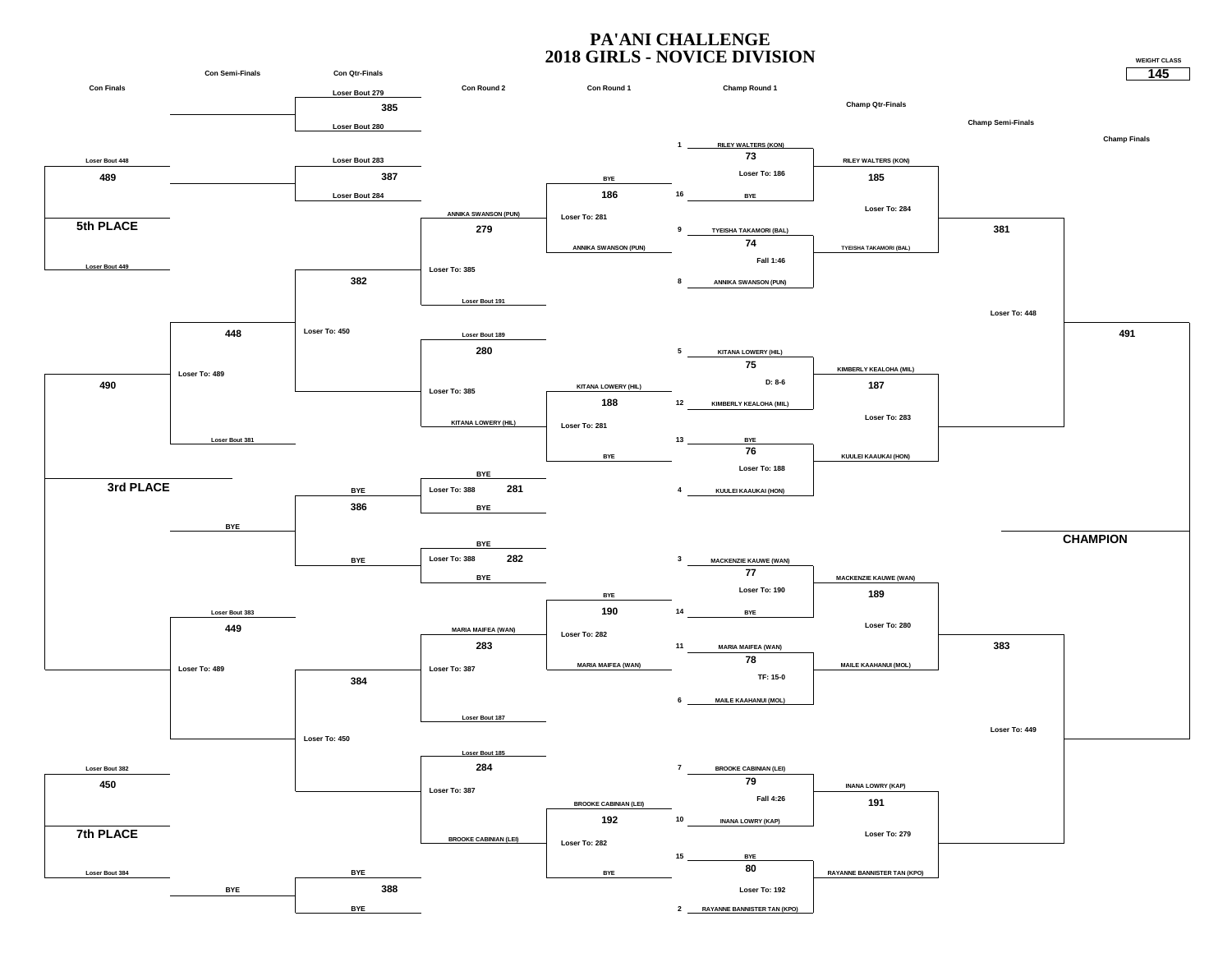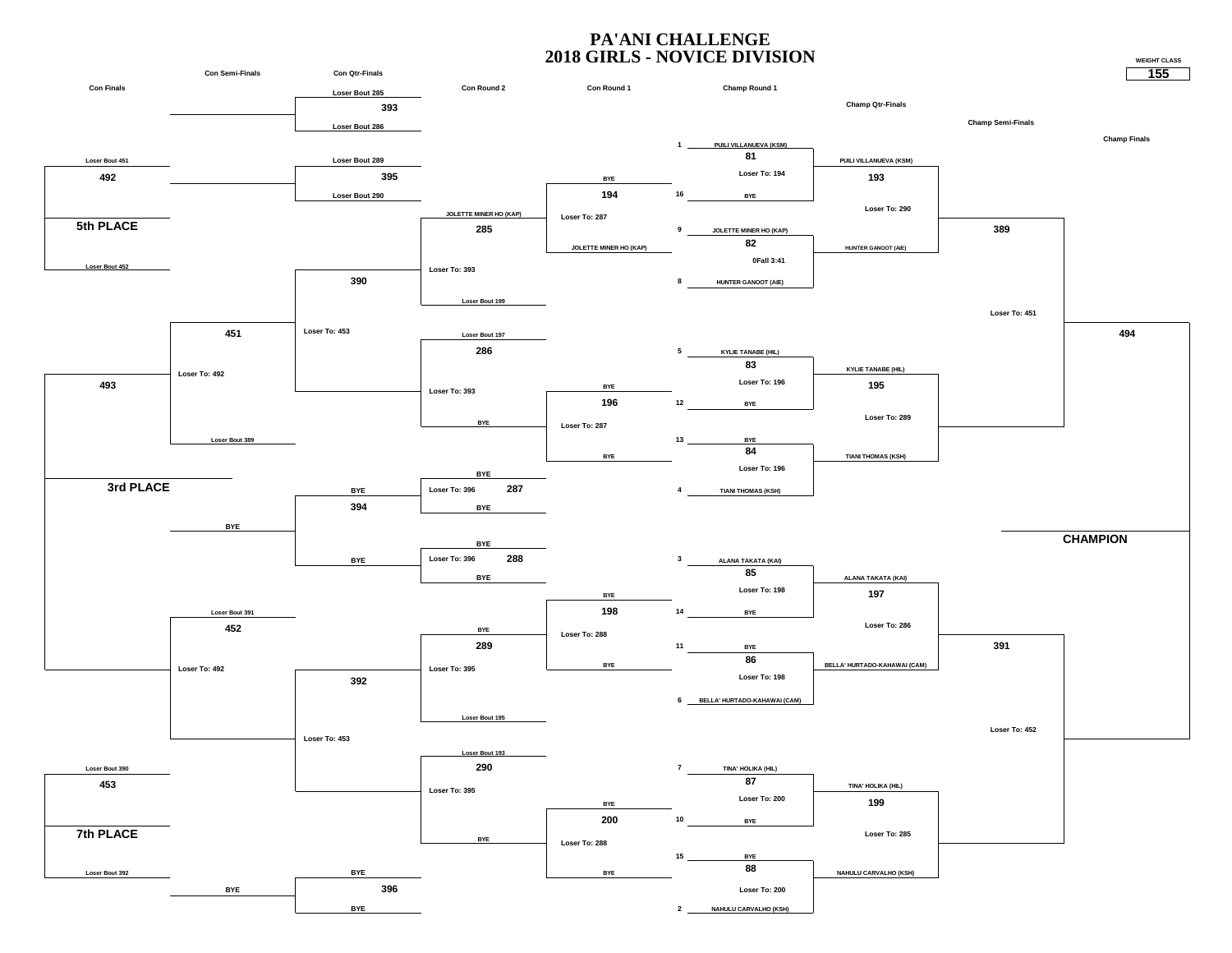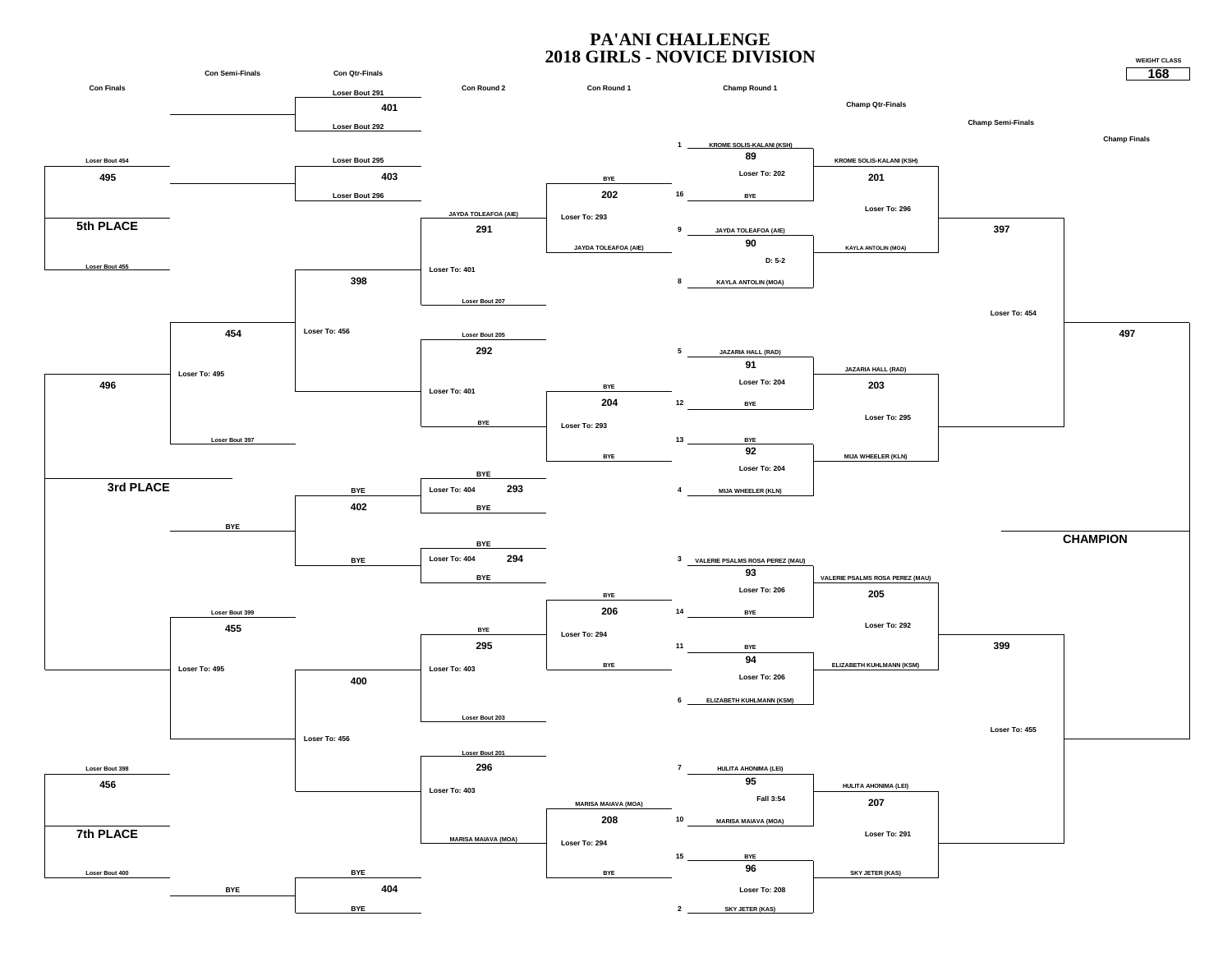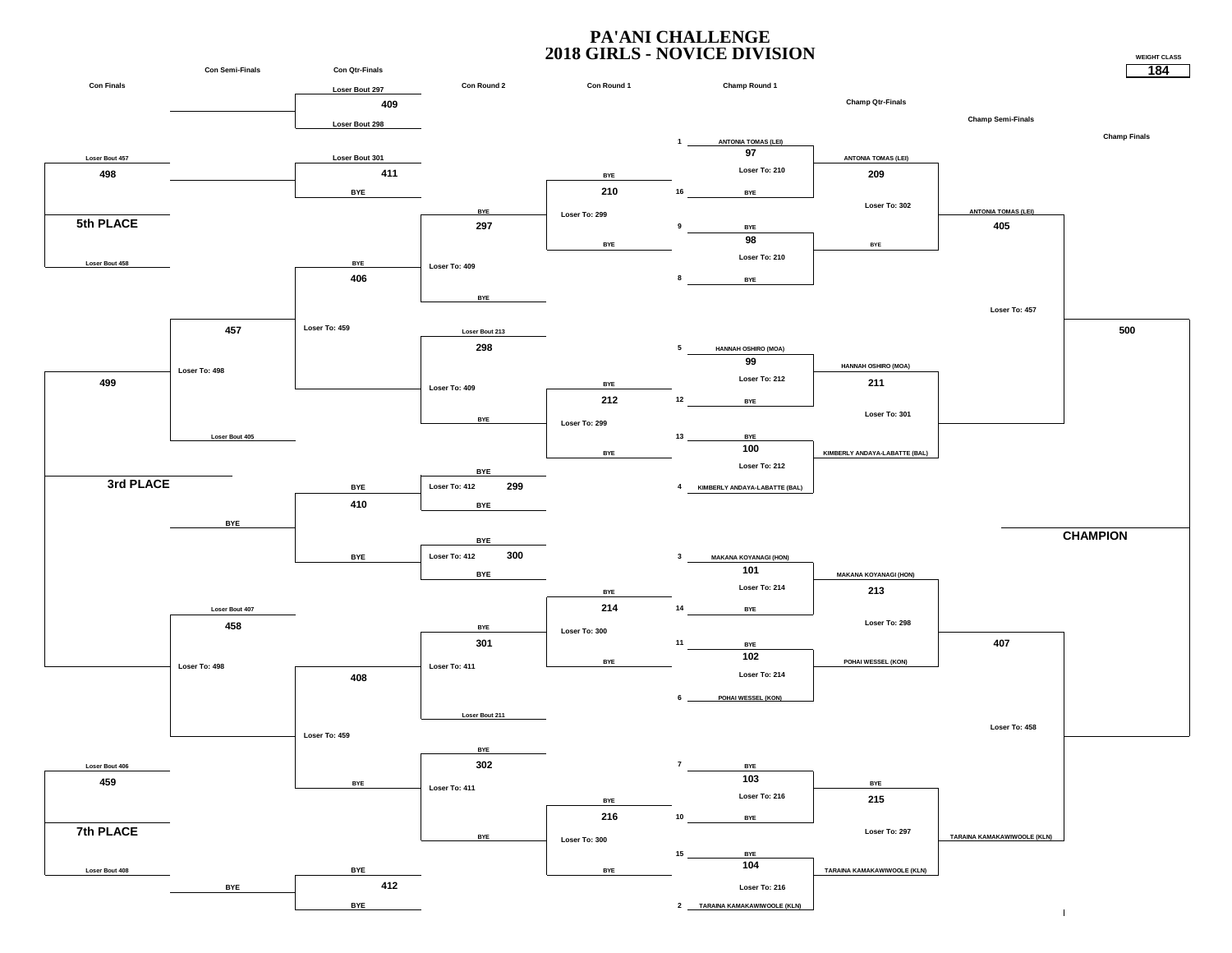#### **PA'ANI CHALLENGE 2018 GIRLS - NOVICE DIVISION**